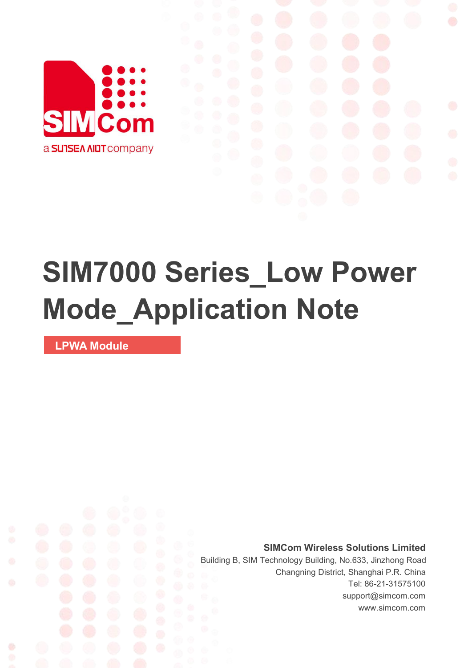

# **SIM7000 Series\_Low Power Mode\_Application Note**

**LPWA Module**

Ø

**SIMCom Wireless Solutions Limited**

Building B, SIM Technology Building, No.633, Jinzhong Road Changning District, Shanghai P.R. China Tel: 86-21-31575100 support@simcom.com www.simcom.com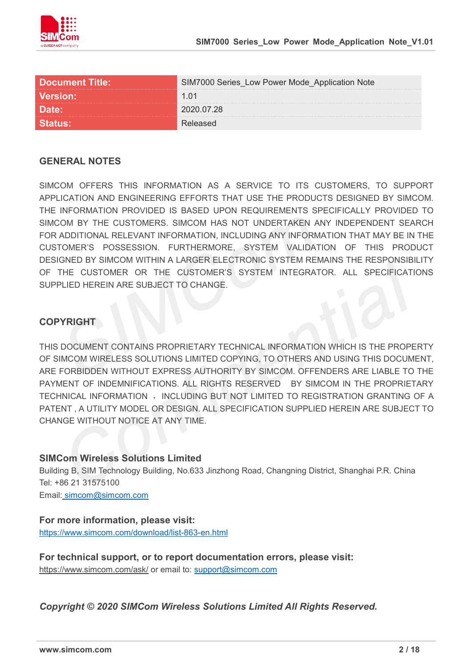

| <u> Document Title: \</u> | M7000 Series Low Power Mode Application Note |
|---------------------------|----------------------------------------------|
| ersion:                   | -011                                         |
|                           |                                              |
|                           |                                              |

### **GENERAL NOTES**

SIMCOM OFFERS THIS INFORMATION AS A SERVICE TO ITS CUSTOMERS. TO SUPPORT APPLICATION AND ENGINEERING EFFORTS THAT USE THE PRODUCTS DESIGNED BY SIMCOM. THE INFORMATION PROVIDED IS BASED UPON REQUIREMENTS SPECIFICALLY PROVIDED TO SIMCOM BY THE CUSTOMERS. SIMCOM HAS NOT UNDERTAKEN ANY INDEPENDENT SEARCH FOR ADDITIONAL RELEVANT INFORMATION, INCLUDING ANY INFORMATION THAT MAY BE IN THE CUSTOMER'S POSSESSION. FURTHERMORE, SYSTEM VALIDATION OF THIS PRODUCT DESIGNED BY SIMCOM WITHIN A LARGER ELECTRONIC SYSTEM REMAINS THE RESPONSIBILITY OF THE CUSTOMER OR THE CUSTOMER'S SYSTEM INTEGRATOR. ALL SPECIFICATIONS SUPPLIED HEREIN ARE SUBJECT TO CHANGE.

### **COPYRIGHT**

THIS DOCUMENT CONTAINS PROPRIETARY TECHNICAL INFORMATION WHICH IS THE PROPERTY OF SIMCOM WIRELESS SOLUTIONS LIMITED COPYING, TO OTHERS AND USING THIS DOCUMENT, ARE FORBIDDEN WITHOUT EXPRESS AUTHORITY BY SIMCOM. OFFENDERS ARE LIABLE TO THE PAYMENT OF INDEMNIFICATIONS. ALL RIGHTS RESERVED BY SIMCOM IN THE PROPRIETARY TECHNICAL INFORMATION , INCLUDING BUT NOT LIMITED TO REGISTRATION GRANTING OF A PATENT , A UTILITY MODEL OR DESIGN. ALL SPECIFICATION SUPPLIED HEREIN ARE SUBJECT TO CHANGE WITHOUT NOTICE AT ANY TIME.

### **SIMCom Wireless Solutions Limited**

Building B, SIM Technology Building, No.633 Jinzhong Road, Changning District, Shanghai P.R. China Tel: +86 21 31575100

Email: [simcom@simcom.com](mailto:simcom@simcom.com)

### **For more information, please visit:**

<https://www.simcom.com/download/list-863-en.html>

**For technical support, or to report documentation errors, please visit:** https://www.simcom.com/ask/ or email to: [support@simcom.com](mailto:support@simcom.com)

*Copyright © 2020 SIMCom Wireless Solutions Limited All Rights Reserved.*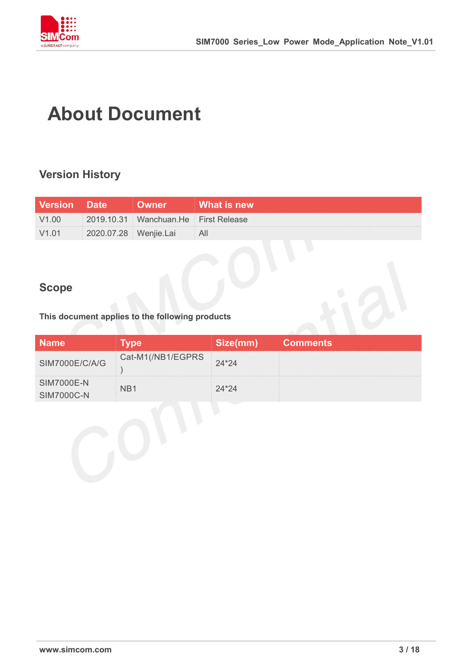

## **About Document**

### **Version History**

| <b>Version Date</b> | <b>Owner</b>                         | <b>What is new</b> |
|---------------------|--------------------------------------|--------------------|
| V1.00               | 2019.10.31 Wanchuan.He First Release |                    |
| V1.01               | 2020.07.28 Wenjie.Lai                |                    |

### **Scope**

### **This document applies to the following products**

|                   |               | <b>Comments</b> |
|-------------------|---------------|-----------------|
| SIM7000E/C/A/G    | 1(/NB1/EGPRS) |                 |
| <b>SIM7000E-N</b> |               |                 |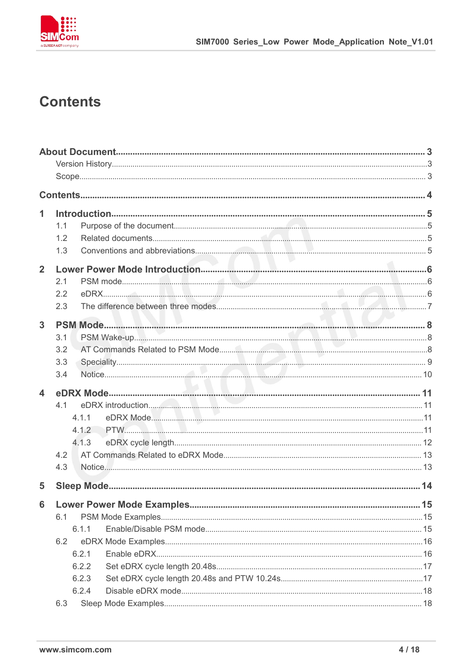

### **Contents**

| 1                       |       |                    |  |
|-------------------------|-------|--------------------|--|
|                         | 1.1   |                    |  |
|                         | 1.2   |                    |  |
|                         | 1.3   |                    |  |
| $\overline{2}$          |       |                    |  |
|                         | 2.1   |                    |  |
|                         | 2.2   |                    |  |
|                         | 2.3   |                    |  |
| $\overline{3}$          |       |                    |  |
|                         | 3.1   |                    |  |
|                         | 3.2   |                    |  |
|                         | 3.3   |                    |  |
|                         | 3.4   |                    |  |
| $\overline{\mathbf{4}}$ |       |                    |  |
|                         | 4.1   | eDRX introduction. |  |
|                         | 4.1.1 |                    |  |
|                         | 4.1.2 |                    |  |
|                         | 4.1.3 |                    |  |
|                         | 4.2   |                    |  |
|                         | 4.3   |                    |  |
| 5                       |       |                    |  |
| 6 <sup>1</sup>          |       |                    |  |
|                         | 6.1   |                    |  |
|                         | 6.1.1 |                    |  |
|                         | 6.2   |                    |  |
|                         | 6.2.1 |                    |  |
|                         | 6.2.2 |                    |  |
|                         | 6.2.3 |                    |  |
|                         | 6.2.4 |                    |  |
|                         | 6.3   |                    |  |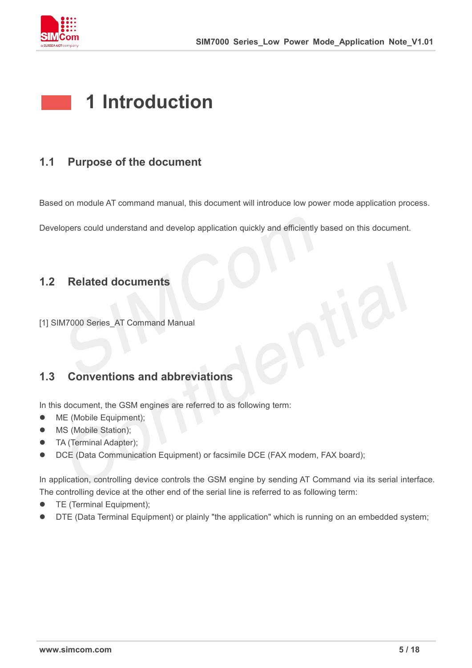

### **1 Introduction**

### **1.1 Purpose of the document**

Based on module AT command manual, this document will introduce low power mode application process.

Developers could understand and develop application quickly and efficiently based on this document.

### **1.2 Related documents**

[1] SIM7000 Series AT Command Manual

### **1.3 Conventions and abbreviations**

In this document, the GSM engines are referred to as following term:

- ME (Mobile Equipment);
- MS (Mobile Station);
- **•** TA (Terminal Adapter);
- DCE (Data Communication Equipment) or facsimile DCE (FAX modem, FAX board);

In application, controlling device controls the GSM engine by sending AT Command via its serial interface. The controlling device at the other end of the serial line is referred to as following term:

- **•** TE (Terminal Equipment);
- DTE (Data Terminal Equipment) or plainly "the application" which is running on an embedded system;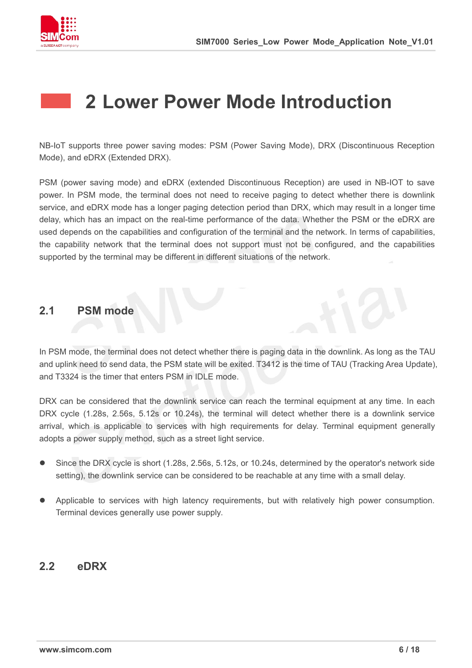

### **2 Lower Power Mode Introduction**

NB-IoT supports three power saving modes: PSM (Power Saving Mode), DRX (Discontinuous Reception Mode), and eDRX (Extended DRX).

PSM (power saving mode) and eDRX (extended Discontinuous Reception) are used in NB-IOT to save power. In PSM mode, the terminal does not need to receive paging to detect whether there is downlink service, and eDRX mode has a longer paging detection period than DRX, which may result in a longer time delay, which has an impact on the real-time performance of the data. Whether the PSM or the eDRX are used depends on the capabilities and configuration of the terminal and the network. In terms of capabilities, the capability network that the terminal does not support must not be configured, and the capabilities supported by the terminal may be different in different situations of the network.

### **2.1 PSM mode**

In PSM mode, the terminal does not detect whether there is paging data in the downlink. As long as the TAU and uplink need to send data, the PSM state will be exited. T3412 is the time of TAU (Tracking Area Update), and T3324 is the timer that enters PSM in IDLE mode.

DRX can be considered that the downlink service can reach the terminal equipment at any time. In each DRX cycle (1.28s, 2.56s, 5.12s or 10.24s), the terminal will detect whether there is a downlink service arrival, which is applicable to services with high requirements for delay. Terminal equipment generally adopts a power supply method, such as a street light service.

- Since the DRX cycle is short (1.28s, 2.56s, 5.12s, or 10.24s, determined by the operator's network side setting), the downlink service can be considered to be reachable at any time with a small delay.
- Applicable to services with high latency requirements, but with relatively high power consumption. Terminal devices generally use power supply.

### **2.2 eDRX**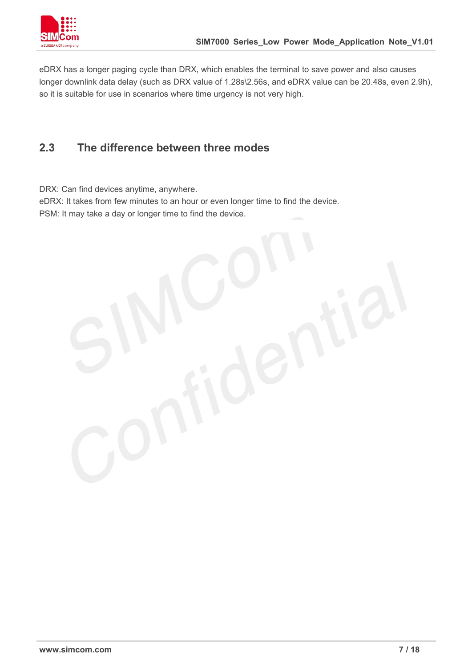

eDRX has a longer paging cycle than DRX, which enables the terminal to save power and also causes longer downlink data delay (such as DRX value of 1.28s\2.56s, and eDRX value can be 20.48s, even 2.9h), so it is suitable for use in scenarios where time urgency is not very high.

### **2.3 The difference between three modes**

DRX: Can find devices anytime, anywhere.

eDRX: It takes from few minutes to an hour or even longer time to find the device. PSM: It may take a day or longer time to find the device.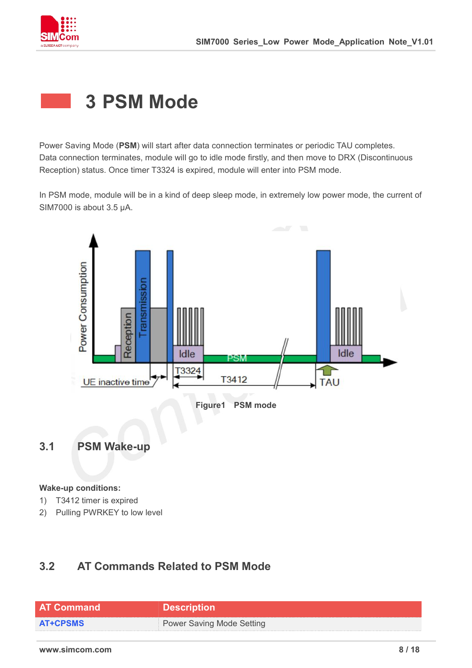

### **3 PSM Mode**

Power Saving Mode (**PSM**) will start after data connection terminates or periodic TAU completes. Data connection terminates, module will go to idle mode firstly, and then move to DRX (Discontinuous Reception) status. Once timer T3324 is expired, module will enter into PSM mode.

In PSM mode, module will be in a kind of deep sleep mode, in extremely low power mode, the current of SIM7000 is about 3.5 μA.



#### **Wake-up conditions:**

- 1) T3412 timer is expired
- 2) Pulling PWRKEY to low level

### **3.2 AT Commands Related to PSM Mode**

| <b>AT Command</b> | <b>Description</b>               |
|-------------------|----------------------------------|
| <b>AT+CPSMS</b>   | <b>Power Saving Mode Setting</b> |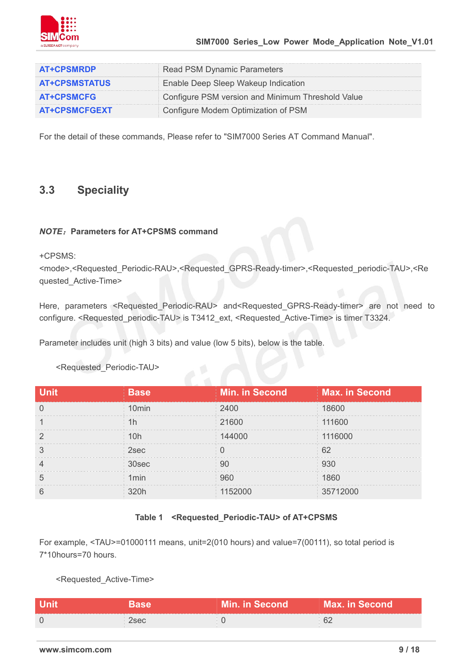

| <b>AT+CPSMRDP</b>    | d PSM Dynamic Parameters                         |
|----------------------|--------------------------------------------------|
| <b>AT+CPSMSTATUS</b> | Enable Deep Sleep Wakeup Indication              |
| <b>AT+CPSMCFG</b>    | onfigure PSM version and Minimum Threshold Value |
| <b>AT+CPSMCFGEXT</b> | nfigure Modem Optimization of PSM                |

For the detail of these commands, Please refer to "SIM7000 Series AT Command Manual".

### **3.3 Speciality**

#### *NOTE*:**Parameters for AT+CPSMS command**

+CPSMS:

<mode>,<Requested\_Periodic-RAU>,<Requested\_GPRS-Ready-timer>,<Requested\_periodic-TAU>,<Re quested\_Active-Time>

Here, parameters <Requested Periodic-RAU> and<Requested GPRS-Ready-timer> are not need to configure. <Requested\_periodic-TAU> is T3412\_ext, <Requested\_Active-Time> is timer T3324.

Parameter includes unit (high 3 bits) and value (low 5 bits), below is the table.

| <b>Unit</b> | <b>Base</b>       | <b>Min. in Second</b> | Max. in Second |
|-------------|-------------------|-----------------------|----------------|
|             | 10 <sub>min</sub> | 2400                  | 18600          |
|             | 1h                | 21600                 | 111600         |
|             | 10h               | 144000                | 1116000        |
|             | 2sec              |                       | 62             |
|             | 30sec             | Q∩                    | 930            |
| h           | 1 <sub>min</sub>  | 960                   | 1860           |
|             | 320h              | 152000                | 35712000       |

<Requested\_Periodic-TAU>

#### **Table 1 <Requested\_Periodic-TAU> of AT+CPSMS**

For example, <TAU>=01000111 means, unit=2(010 hours) and value=7(00111), so total period is 7\*10hours=70 hours.

<Requested\_Active-Time>

| <b>Unit</b> | Rase | <b>Min. in Second</b> | Max. in Second <b>\</b> |
|-------------|------|-----------------------|-------------------------|
|             | 2sec |                       | ∪∠                      |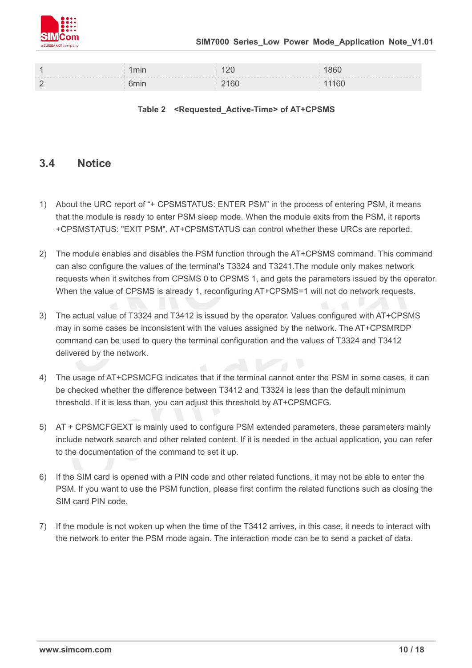

| 1min | ∩ר 1<br>$ \sim$ | 1860  |
|------|-----------------|-------|
| հmir | 2160            | 11160 |

#### **Table 2 <Requested\_Active-Time> of AT+CPSMS**

### **3.4 Notice**

- 1) About the URC report of "+ CPSMSTATUS: ENTER PSM" in the process of entering PSM, it means that the module is ready to enter PSM sleep mode. When the module exits from the PSM, it reports +CPSMSTATUS: "EXIT PSM". AT+CPSMSTATUS can control whether these URCs are reported.
- 2) The module enables and disables the PSM function through the AT+CPSMS command. This command can also configure the values of the terminal's T3324 and T3241.The module only makes network requests when it switches from CPSMS 0 to CPSMS 1, and gets the parameters issued by the operator. When the value of CPSMS is already 1, reconfiguring AT+CPSMS=1 will not do network requests.
- 3) The actual value of T3324 and T3412 is issued by the operator. Values configured with AT+CPSMS may in some cases be inconsistent with the values assigned by the network. The AT+CPSMRDP command can be used to query the terminal configuration and the values of T3324 and T3412 delivered by the network.
- 4) The usage of AT+CPSMCFG indicates that if the terminal cannot enter the PSM in some cases, it can be checked whether the difference between T3412 and T3324 is less than the default minimum threshold. If it is less than, you can adjust this threshold by AT+CPSMCFG.
- 5) AT + CPSMCFGEXT is mainly used to configure PSM extended parameters, these parameters mainly include network search and other related content. If it is needed in the actual application, you can refer to the documentation of the command to set it up.
- 6) If the SIM card is opened with a PIN code and other related functions, it may not be able to enter the PSM. If you want to use the PSM function, please first confirm the related functions such as closing the SIM card PIN code.
- 7) If the module is not woken up when the time of the T3412 arrives, in this case, it needs to interact with the network to enter the PSM mode again. The interaction mode can be to send a packet of data.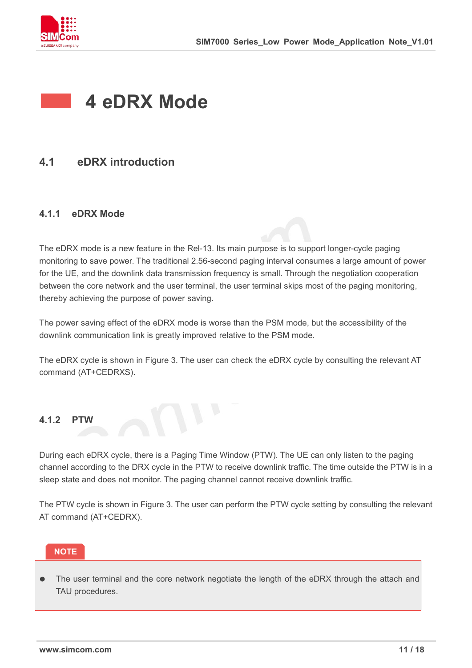

### **4 eDRX Mode**

### **4.1 eDRX introduction**

### **4.1.1 eDRX Mode**

The eDRX mode is a new feature in the Rel-13. Its main purpose is to support longer-cycle paging monitoring to save power. The traditional 2.56-second paging interval consumes a large amount of power for the UE, and the downlink data transmission frequency is small. Through the negotiation cooperation between the core network and the user terminal, the user terminal skips most of the paging monitoring, thereby achieving the purpose of power saving.

The power saving effect of the eDRX mode is worse than the PSM mode, but the accessibility of the downlink communication link is greatly improved relative to the PSM mode.

The eDRX cycle is shown in Figure 3. The user can check the eDRX cycle by consulting the relevant AT command (AT+CEDRXS).

#### **4.1.2 PTW**

During each eDRX cycle, there is a Paging Time Window (PTW). The UE can only listen to the paging channel according to the DRX cycle in the PTW to receive downlink traffic. The time outside the PTW is in a sleep state and does not monitor. The paging channel cannot receive downlink traffic.

The PTW cycle is shown in Figure 3. The user can perform the PTW cycle setting by consulting the relevant AT command (AT+CEDRX).

 The user terminal and the core network negotiate the length of the eDRX through the attach and **THE USE 1999 STAU procedures.**<br>TAU procedures.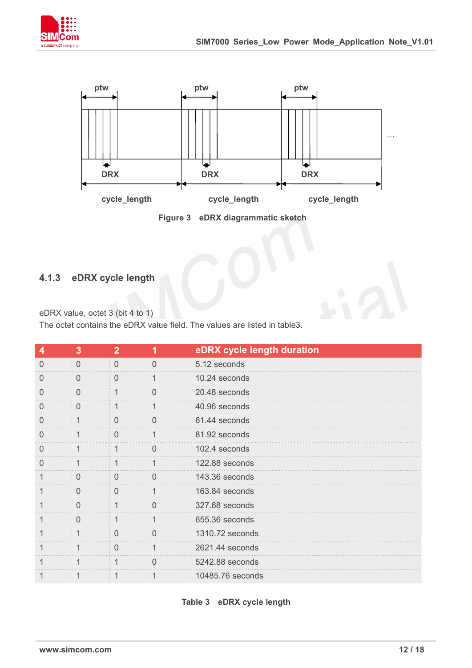



**Figure 3 eDRX diagrammatic sketch**

### **4.1.3 eDRX cycle length**

eDRX value, octet 3 (bit 4 to 1)

The octet contains the eDRX value field. The values are listed in table3.

| 4        | 3              | $\overline{2}$ | 1              | eDRX cycle length duration |
|----------|----------------|----------------|----------------|----------------------------|
| $\Omega$ | $\overline{0}$ | $\overline{0}$ | $\overline{0}$ | 5.12 seconds               |
| $\Omega$ | $\mathbf 0$    | $\overline{0}$ | $\mathbf 1$    | 10.24 seconds              |
| 0        | $\overline{0}$ | $\mathbf 1$    | $\mathbf 0$    | 20.48 seconds              |
| $\Omega$ | $\overline{0}$ | $\mathbf{1}$   | $\mathbf 1$    | 40.96 seconds              |
| $\theta$ | $\mathbf{1}$   | $\overline{0}$ | $\mathbf 0$    | 61.44 seconds              |
| $\Omega$ | $\mathbf 1$    | $\overline{0}$ | $\mathbf{1}$   | 81.92 seconds              |
| $\Omega$ | 1              | 1              | $\mathbf 0$    | 102.4 seconds              |
| $\Omega$ | $\mathbf{1}$   | $\mathbf{1}$   | 1              | 122.88 seconds             |
| 1        | $\overline{0}$ | $\overline{0}$ | $\overline{0}$ | 143.36 seconds             |
| 1        | $\overline{0}$ | $\overline{0}$ | 1              | 163.84 seconds             |
| 1        | $\overline{0}$ | $\mathbf{1}$   | $\overline{0}$ | 327.68 seconds             |
| 1        | $\overline{0}$ | $\mathbf{1}$   | $\mathbf 1$    | 655.36 seconds             |
| 1        | 1              | $\overline{0}$ | $\mathbf 0$    | 1310.72 seconds            |
| 1        | $\bigg  1$     | $\overline{0}$ | 1              | 2621.44 seconds            |
| 1        | $\overline{1}$ | $\overline{1}$ | $\overline{0}$ | 5242.88 seconds            |
|          | 1              |                | 1              | 10485.76 seconds           |

**Table 3 eDRX cycle length**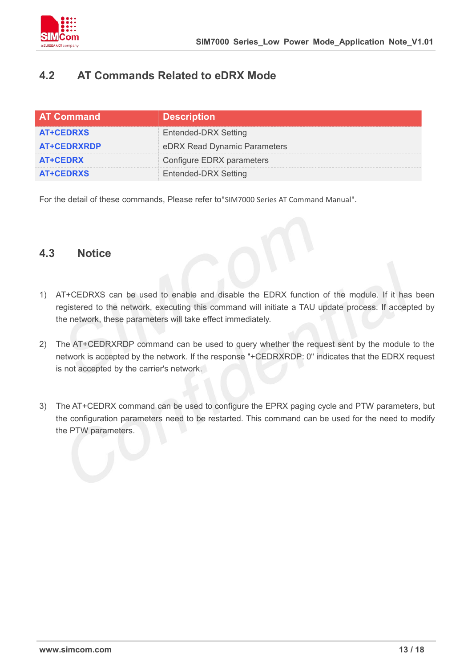

### **4.2 AT Commands Related to eDRX Mode**

| <b>AT Command</b>  | <b>Description</b>           |
|--------------------|------------------------------|
| <b>AT+CEDRXS</b>   | <b>Entended-DRX Setting</b>  |
| <b>AT+CEDRXRDP</b> | eDRX Read Dynamic Parameters |
| <b>AT+CEDRX</b>    | Configure EDRX parameters    |
| <b>AT+CEDRXS</b>   | <b>Entended-DRX Setting</b>  |

For the detail of these commands, Please refer to"SIM7000 Series AT Command Manual".

### **4.3 Notice**

- 1) AT+CEDRXS canbe used to enable and disable the EDRX function of the module. If it has been registered to the network, executing this command will initiate a TAU update process. If accepted by the network, these parameters will take effect immediately.
- 2) The AT+CEDRXRDP command can be used to query whether the request sent by the module to the network is accepted by the network. If the response "+CEDRXRDP: 0" indicates that the EDRX request is not accepted by the carrier's network.
- 3) The AT+CEDRX command can be used to configure the EPRX paging cycle and PTW parameters, but the configuration parameters need to be restarted. This command can be used for the need to modify the PTW parameters.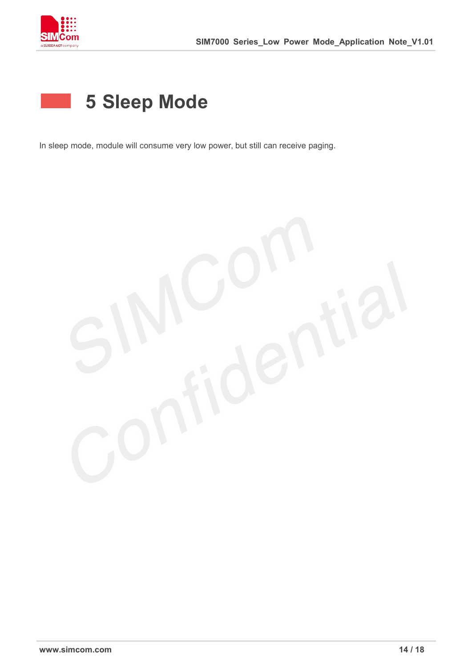

### **5 Sleep Mode**

In sleep mode, module will consume very low power, but still can receive paging.

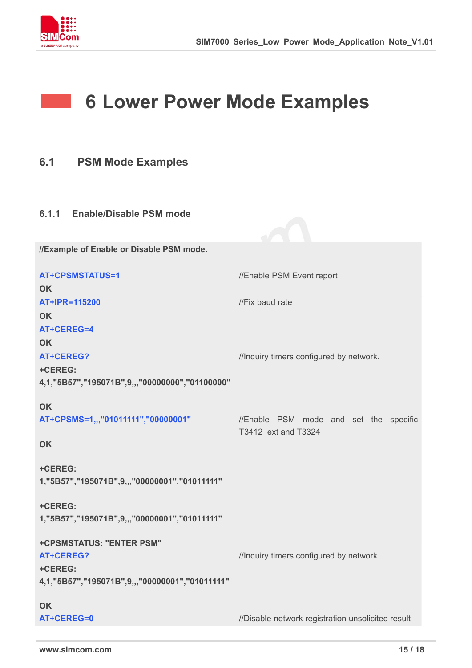

and the

### **6 Lower Power Mode Examples**

- **6.1 PSM Mode Examples**
- **6.1.1 Enable/Disable PSM mode**

**//Example of Enable or Disable PSM mode.**

| <b>AT+CPSMSTATUS=1</b>                         | //Enable PSM Event report                         |  |
|------------------------------------------------|---------------------------------------------------|--|
| <b>OK</b>                                      |                                                   |  |
| AT+IPR=115200                                  | //Fix baud rate                                   |  |
| <b>OK</b>                                      |                                                   |  |
| AT+CEREG=4                                     |                                                   |  |
| <b>OK</b>                                      |                                                   |  |
| <b>AT+CEREG?</b>                               | //Inquiry timers configured by network.           |  |
| +CEREG:                                        |                                                   |  |
| 4,1,"5B57","195071B",9,,,"00000000","01100000" |                                                   |  |
|                                                |                                                   |  |
| <b>OK</b>                                      |                                                   |  |
| AT+CPSMS=1,,,"01011111","00000001"             | //Enable PSM mode and set the specific            |  |
|                                                | T3412_ext and T3324                               |  |
| OK                                             |                                                   |  |
| +CEREG:                                        |                                                   |  |
| 1,"5B57","195071B",9,,,"00000001","01011111"   |                                                   |  |
|                                                |                                                   |  |
| +CEREG:                                        |                                                   |  |
| 1,"5B57","195071B",9,,,"00000001","01011111"   |                                                   |  |
|                                                |                                                   |  |
| +CPSMSTATUS: "ENTER PSM"                       |                                                   |  |
| <b>AT+CEREG?</b>                               | //Inquiry timers configured by network.           |  |
| +CEREG:                                        |                                                   |  |
| 4,1,"5B57","195071B",9,,,"00000001","01011111" |                                                   |  |
|                                                |                                                   |  |
| <b>OK</b>                                      |                                                   |  |
| AT+CEREG=0                                     | //Disable network registration unsolicited result |  |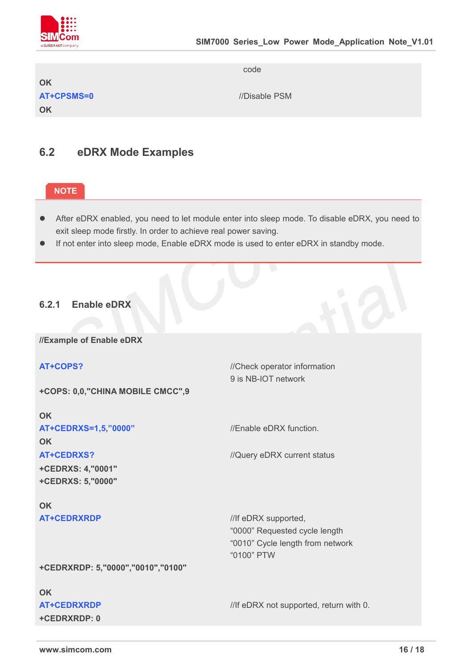

**OK AT+CPSMS=0** //Disable PSM **OK**

code

### **6.2 eDRX Mode Examples**

### **NOTE**

- After eDRX enabled, you need to let module enter into sleep mode. To disable eDRX, you need to exit sleep mode firstly. In order to achieve real power saving.
- If not enter into sleep mode, Enable eDRX mode is used to enter eDRX in standby mode.

### **6.2.1 Enable eDRX**

**//Example of Enable eDRX**

#### **AT+COPS?** //Check operator information

**+COPS: 0,0,"CHINA MOBILE CMCC",9**

**OK AT+CEDRXS=1,5,"0000"** //Enable eDRX function. **OK AT+CEDRXS?** //Query eDRX current status **+CEDRXS: 4,"0001" +CEDRXS: 5,"0000"**

9 is NB-IOT network

## **OK**

**AT+CEDRXRDP** ///If eDRX supported. "0000" Requested cycle length "0010" Cycle length from network "0100" PTW

**+CEDRXRDP: 5,"0000","0010","0100"**

### **OK**

**+CEDRXRDP: 0**

**AT+CEDRXRDP** ///If eDRX not supported, return with 0.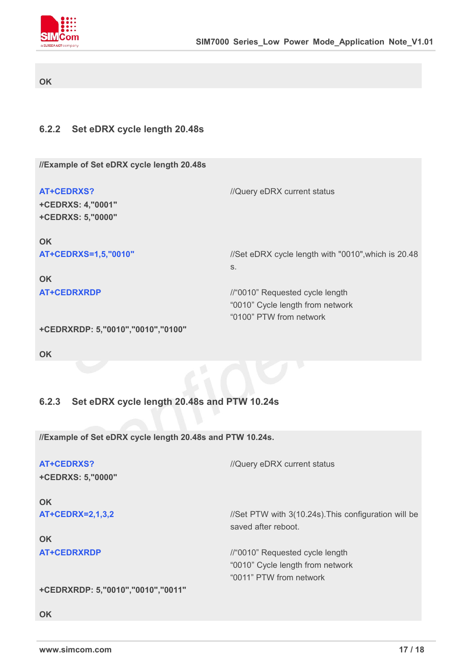

#### **OK**

### **6.2.2 Set eDRX cycle length 20.48s**

**//Example of Set eDRX cycle length 20.48s**

| <b>AT+CEDRXS?</b><br>+CEDRXS: 4,"0001"<br>+CEDRXS: 5,"0000" | //Query eDRX current status                         |  |
|-------------------------------------------------------------|-----------------------------------------------------|--|
| <b>OK</b>                                                   |                                                     |  |
| AT+CEDRXS=1,5,"0010"                                        | //Set eDRX cycle length with "0010", which is 20.48 |  |
|                                                             | S.                                                  |  |
| <b>OK</b>                                                   |                                                     |  |
| <b>AT+CEDRXRDP</b>                                          | //"0010" Requested cycle length                     |  |
|                                                             | "0010" Cycle length from network                    |  |
|                                                             | "0100" PTW from network                             |  |
| $\blacksquare$ . A FRIRVAR R. F. HAAJAH. HAJAA HAJAA H      |                                                     |  |

```
+CEDRXRDP: 5,"0010","0010","0100"
```
**OK**

### **6.2.3 Set eDRX cycle length 20.48s and PTW 10.24s**

**//Example of Set eDRX cycle length 20.48s and PTW 10.24s.**

| <b>AT+CEDRXS?</b><br>+CEDRXS: 5,"0000" | //Query eDRX current status                                                                    |  |
|----------------------------------------|------------------------------------------------------------------------------------------------|--|
| <b>OK</b>                              |                                                                                                |  |
| <b>AT+CEDRX=2,1,3,2</b>                | //Set PTW with 3(10.24s). This configuration will be<br>saved after reboot.                    |  |
| <b>OK</b>                              |                                                                                                |  |
| <b>AT+CEDRXRDP</b>                     | //"0010" Requested cycle length<br>"0010" Cycle length from network<br>"0011" PTW from network |  |
| $\blacksquare$                         |                                                                                                |  |

**+CEDRXRDP: 5,"0010","0010","0011"**

**OK**